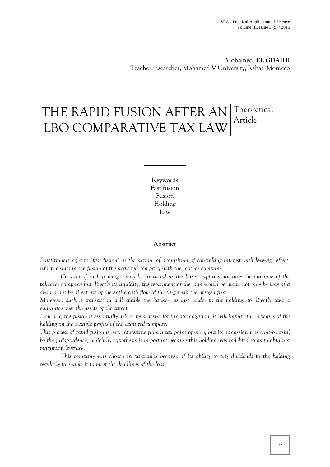**Mohamed EL GDAIHI** Teacher researcher, Mohamed V University, Rabat, Morocco

# THE RAPID FUSION AFTER AN Theoretical LBO COMPARATIVE TAX LAW Article

**Keywords** Fast fusion Fusion Holding Law

# **Abstract**

*Practitioners refer to "fast fusion" as the action, of acquisition of controlling interest with leverage effect, which results in the fusion of the acquired company with the mother company.*

 *The aim of such a merger may be financial as the buyer captures not only the outcome of the takeover company but directly its liquidity, the repayment of the loan would be made not only by way of a divided but by direct use of the entire cash flow of the target via the merged firm.* 

*Moreover, such a transaction will enable the banker, as last lender to the holding, to directly take a guarantee over the assets of the target.* 

*However, the fusion is essentially driven by a desire for tax optimization; it will impute the expenses of the holding on the taxable profits of the acquired company.* 

*This process of rapid fusion is very interesting from a tax point of view, but its admission was controversial by the jurisprudence, which by hypothesis is important because this holding was indebted so as to obtain a maximum leverage.* 

*This company was chosen in particular because of its ability to pay dividends to the holding regularly to enable it to meet the deadlines of the loan.*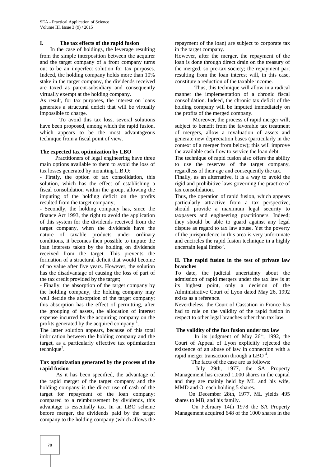# **I. The tax effects of the rapid fusion**

In the case of holdings, the leverage resulting from the simple interposition between the acquirer and the target company of a front company turns out to be an imperfect solution for tax purposes. Indeed, the holding company holds more than 10% stake in the target company, the dividends received are taxed as parent-subsidiary and consequently virtually exempt at the holding company.

As result, for tax purposes, the interest on loans generates a structural deficit that will be virtually impossible to charge.

 To avoid this tax loss, several solutions have been proposed, among which the rapid fusion. which appears to be the most advantageous technique from a fiscal point of view.

# **The expected tax optimization by LBO**

 Practitioners of legal engineering have three main options available to them to avoid the loss of tax losses generated by mounting L.B.O:

- Firstly, the option of tax consolidation, this solution, which has the effect of establishing a fiscal consolidation within the group, allowing the imputing of the holding deficit on the profits resulted from the target company;

- Secondly, the holding company has, since the finance Act 1993, the right to avoid the application of this system for the dividends received from the target company, when the dividends have the nature of taxable products under ordinary conditions, it becomes then possible to impute the loan interests taken by the holding on dividends received from the target. This prevents the formation of a structural deficit that would become of no value after five years. However, the solution has the disadvantage of causing the loss of part of the tax credit provided by the target;

- Finally, the absorption of the target company by the holding company, the holding company may well decide the absorption of the target company; this absorption has the effect of permitting, after the grouping of assets, the allocation of interest expense incurred by the acquiring company on the profits generated by the acquired company<sup>1</sup>.

The latter solution appears, because of this total imbrication between the holding company and the target, as a particularly effective tax optimization  $technique<sup>2</sup>$ .

#### **Tax optimization generated by the process of the rapid fusion**

As it has been specified, the advantage of the rapid merger of the target company and the holding company is the direct use of cash of the target for repayment of the loan company; compared to a reimbursement by dividends, this advantage is essentially tax. In an LBO scheme before merger, the dividends paid by the target company to the holding company (which allows the

repayment of the loan) are subject to corporate tax in the target company.

However, after the merger, the repayment of the loan is done through direct drain on the treasury of the merged, so pre-tax society; the repayment part resulting from the loan interest will, in this case, constitute a reduction of the taxable income.

Thus, this technique will allow in a radical manner the implementation of a chronic fiscal consolidation. Indeed, the chronic tax deficit of the holding company will be imputed immediately on the profits of the merged company.

Moreover, the process of rapid merger will, subject to benefit from the favorable tax treatment of mergers, allow a revaluation of assets and generate new depreciation bases (particularly in the context of a merger from below); this will improve the available cash flow to service the loan debt.

The technique of rapid fusion also offers the ability to use the reserves of the target company, regardless of their age and consequently the tax.

Finally, as an alternative, it is a way to avoid the rigid and prohibitive laws governing the practice of tax consolidation.

Thus, the operation of rapid fusion, which appears particularly attractive from a tax perspective, should provide a maximum legal security to taxpayers and engineering practitioners. Indeed; they should be able to guard against any legal dispute as regard to tax law abuse. Yet the poverty of the jurisprudence in this area is very unfortunate and encircles the rapid fusion technique in a highly uncertain legal limbo<sup>3</sup>.

#### **II. The rapid fusion in the test of private law branches**

To date, the judicial uncertainty about the admission of rapid mergers under the tax law is at its highest point, only a decision of the Administrative Court of Lyon dated May 26, 1992 exists as a reference.

Nevertheless, the Court of Cassation in France has had to rule on the validity of the rapid fusion in respect to other legal branches other than tax law.

# **The validity of the fast fusion under tax law**

In its judgment of May  $26<sup>th</sup>$ , 1992, the Court of Appeal of Lyon explicitly rejected the existence of an abuse of law in connection with a rapid merger transaction through a LBO  $<sup>4</sup>$ .</sup>

The facts of the case are as follows:

July 29th, 1977, the SA Property Management has created 1,000 shares in the capital and they are mainly held by ML and his wife, MMD and O. each holding 5 shares.

On December 28th, 1977, ML yields 495 shares to MB, and his family.

On February 14th 1978 the SA Property Management acquired 648 of the 1000 shares in the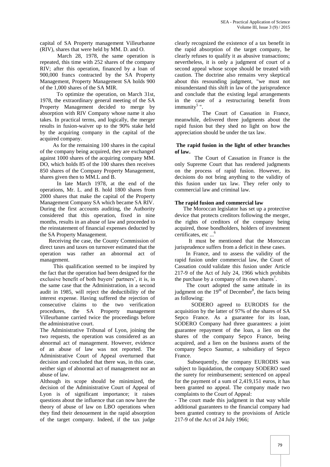capital of SA Property management Villeurbanne (RIV), shares that were held by MM. D. and O.

March 28, 1978, the same operation is repeated, this time with 252 shares of the company RIV; after this operation, financed by a loan of 900,000 francs contracted by the SA Property Management, Property Management SA holds 900 of the 1,000 shares of the SA MIR.

 To optimize the operation, on March 31st, 1978, the extraordinary general meeting of the SA Property Management decided to merge by absorption with RIV Company whose name it also takes. In practical terms, and logically, the merger results in fusion-waiver up to the 90% stake held by the acquiring company in the capital of the acquired company.

 As for the remaining 100 shares in the capital of the company being acquired, they are exchanged against 1000 shares of the acquiring company MM. DO, which holds 85 of the 100 shares then receives 850 shares of the Company Property Management, shares given then to MM.L and B.

 In late March 1978, at the end of the operations, Mr. L. and B. hold 1800 shares from 2000 shares that make the capital of the Property Management Company SA which became SA RIV. During the first accounts auditing, the Authority considered that this operation, fixed in nine months, results in an abuse of law and proceeded to the reinstatement of financial expenses deducted by the SA Property Management.

Receiving the case, the County Commission of direct taxes and taxes on turnover estimated that the operation was rather an abnormal act of management.

This qualification seemed to be inspired by the fact that the operation had been designed for the exclusive benefit of both buyers' partners', it is, in the same case that the Administration, in a second audit in 1985, will reject the deductibility of the interest expense. Having suffered the rejection of consecutive claims to the two verification procedures, the SA Property management Villeurbanne carried twice the proceedings before the administrative court.

The Administrative Tribunal of Lyon, joining the two requests, the operation was considered as an abnormal act of management. However, evidence of an abuse of law was not reported. The Administrative Court of Appeal overturned that decision and concluded that there was, in this case, neither sign of abnormal act of management nor an abuse of law.

Although its scope should be minimized, the decision of the Administrative Court of Appeal of Lyon is of significant importance; it raises questions about the influence that can now have the theory of abuse of law on LBO operations when they find their denouement in the rapid absorption of the target company. Indeed, if the tax judge

clearly recognized the existence of a tax benefit in the rapid absorption of the target company, he clearly refuses to qualify it as abusive transactions; nevertheless, it is only a judgment of court of a second appeal whose scope should be treated with caution. The doctrine also remains very skeptical about this resounding judgment, "we must not misunderstand this shift in law of the jurisprudence and conclude that the existing legal arrangements in the case of a restructuring benefit from immunity<sup>5</sup>".

 The Court of Cassation in France, meanwhile, delivered three judgments about the rapid fusion but they shed no light on how the appreciation should be under the tax law.

#### **The rapid fusion in the light of other branches of law.**

The Court of Cassation in France is the only Supreme Court that has rendered judgments on the process of rapid fusion. However, its decisions do not bring anything to the validity of this fusion under tax law. They refer only to commercial law and criminal law.

# **The rapid fusion and commercial law**

The Moroccan legislator has set up a protective device that protects creditors following the merger, the rights of creditors of the company being acquired, those bondholders, holders of investment certificates, etc ...<sup>6</sup>

 It must be mentioned that the Moroccan jurisprudence suffers from a deficit in these cases.

In France, and to assess the validity of the rapid fusion under commercial law, the Court of Cassation could validate this fusion under Article 217-9 of the Act of July 24, 1966 which prohibits the purchase by a company of its own shares<sup>7</sup>.

The court adopted the same attitude in its judgment on the  $19<sup>th</sup>$  of December<sup>8</sup>, the facts being as following:

 SODERO agreed to EURODIS for the acquisition by the latter of 97% of the shares of SA Sepco France. As a guarantee for its loan, SODERO Company had three guarantees: a joint guarantee repayment of the loan, a lien on the shares of the company Sepco France, being acquired, and a lien on the business assets of the company Sepco Saumur, a subsidiary of Sepco France.

Subsequently, the company EURODIS was subject to liquidation, the company SODERO sued the surety for reimbursement; sentenced on appeal for the payment of a sum of 2,419,151 euros, it has been granted no appeal. The company made two complaints to the Court of Appeal:

- The court made this judgment in that way while additional guarantees to the financial company had been granted contrary to the provisions of Article 217-9 of the Act of 24 July 1966;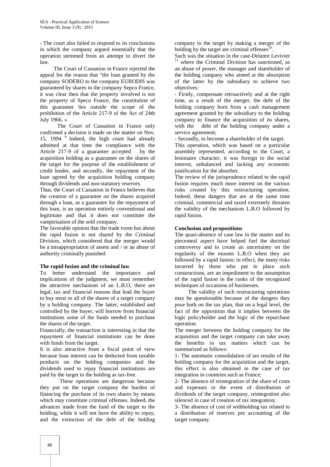- The court also failed to respond to its conclusions in which the company argued essentially that the operation stemmed from an attempt to divert the law.

The Court of Cassation in France rejected the appeal for the reason that "the loan granted by the company SODERO to the company EURODIS was guaranteed by shares in the company Sepco France, it was clear then that the property involved is not the property of Speco France, the constitution of this guarantee lies outside the scope of the prohibition of the Article 217-9 of the Act of 24th July 1966. »

The Court of Cassation in France only confirmed a decision it made on the matter on Nov. 15, 1994<sup>9</sup> Indeed, the high court had already admitted at that time the compliance with the Article 217-9 of a guarantee accepted by the acquisition holding as a guarantee on the shares of the target for the purpose of the establishment of credit lender, and secondly, the repayment of the loan agreed by the acquisition holding company through dividends and non-statutory reserves.

Thus, the Court of Cassation in France believes that the creation of a guarantee on the shares acquired through a loan, as a guarantee for the repayment of this loan, is an operation entirely conventional and legitimate and that it does not constitute the vampirisation of the sold company.

The favorable opinion that the trade room has about the rapid fusion is not shared by the Criminal Division, which considered that the merger would be a misappropriation of assets and / or an abuse of authority criminally punished.

# **The rapid fusion and the criminal law**

To better understand the importance and implications of the judgment, we must remember the attractive mechanism of an L.B.O, there are legal, tax and financial reasons that lead the buyer to buy most or all of the shares of a target company by a holding company. The latter, established and controlled by the buyer, will borrow from financial institutions some of the funds needed to purchase the shares of the target.

Financially, the transaction is interesting in that the repayment of financial institutions can be done with funds from the target.

It is also attractive from a fiscal point of view because loan interest can be deducted from taxable products on the holding companies and the dividends used to repay financial institutions are paid by the target to the holding as tax-free.

These operations are dangerous because they put on the target company the burden of financing the purchase of its own shares by means which may constitute criminal offenses. Indeed, the advances made from the fund of the target to the holding, while it will not have the ability to repay, and the extinction of the debt of the holding

company to the target by making a merger of the holding by the target are criminal offenses $<sup>1</sup>$ </sup> .

Such was the situation in the case-Delattre Levivier where the Criminal Division has sanctioned, as an abuse of power, the manager and shareholder of the holding company who aimed at the absorption of the latter by the subsidiary to achieve two objectives:

- Firstly, compensate retroactively and at the right time, as a result of the merger, the debt of the holding company born from a cash management agreement granted by the subsidiary to the holding company to finance the acquisition of its shares, with the debt of the holding company under a service agreement;

- Secondly, to become a shareholder of the target.

This operation, which was based on a particular assembly represented, according to the Court, a lesionaire character, it was foreign to the social interest, unbalanced and lacking any economic justification for the absorber.

The review of the jurisprudence related to the rapid fusion requires much more interest on the various risks created by this restructuring operation. Indeed, these dangers that are at the same time criminal, commercial and taxed extremely threaten the validity of the mechanism L.B.O followed by rapid fusion.

#### **Conclusion and propositions**

The quasi-absence of case law in the matter and its piecemeal aspect have helped fuel the doctrinal controversy and to create an uncertainty on the regularity of the mounts L.B.O when they are followed by a rapid fusion; in effect, the many risks incurred by those who put in place such constructions, are an impediment to the assumption of the rapid fusion in the ranks of the recognized techniques of occasions of businesses.

 The validity of such restructuring operations may be questionable because of the dangers they pose both on the tax plan, that on a legal level, the fact of the opposition that it implies between the logic policyholder and the logic of the repurchase operation.

The merger between the holding company for the acquisition and the target company can take away the benefits in tax matters which can be summarized as follows:

1- The automatic consolidation of tax results of the holding company for the acquisition and the target, this effect is also obtained in the case of tax integration in countries such as France;

2- The absence of reintegration of the share of costs and expenses in the event of distribution of dividends of the target company, reintegration also silenced in case of creation of tax integration;

3- The absence of cost of withholding tax related to a distribution of reserves pre accounting of the target company.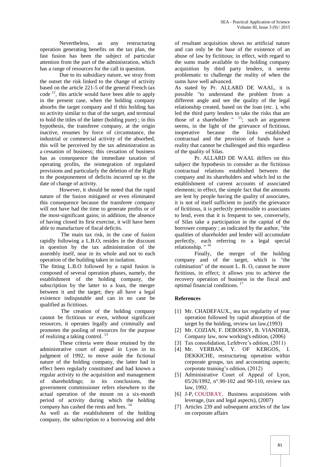Nevertheless, as any restructuring operation generating benefits on the tax plan, the fast fusion has been the subject of particular attention from the part of the administration, which has a range of resources for the call in question.

Due to its subsidiary nature, we stray from the outset the risk linked to the change of activity based on the article 221-5 of the general French tax code <sup>12</sup>, this article would have been able to apply in the present case, when the holding company absorbs the target company and if this holding has no activity similar to that of the target, and terminal to hold the titles of the latter (holding pure) ; in this hypothesis, the transferee company, at the origin inactive, resumes by force of circumstance, the industrial or commercial activity of the absorbed, this will be perceived by the tax administration as a cessation of business; this cessation of business has as consequence the immediate taxation of operating profits, the reintegration of regulated provisions and particularly the deletion of the Right to the postponement of deficits incurred up to the date of change of activity.

However, it should be noted that the rapid nature of the fusion mitigated or even eliminated this consequence because the transferee company will not have had the time to generate profits or of the most-significant gains; in addition, the absence of having closed its first exercise, it will have been able to manufacture of fiscal deficits.

The main tax risk, in the case of fusion rapidly following a L.B.O, resides in the discount in question by the tax administration of the assembly itself, near in its whole and not to each operation of the building taken in isolation.

The fitting L.B.O followed by a rapid fusion is composed of several operation phases, namely, the establishment of the holding company, the subscription by the latter to a loan, the merger between it and the target; they all have a legal existence indisputable and can in no case be qualified as fictitious.

The creation of the holding company cannot be fictitious or even, without significant resources, it operates legally and criminally and promotes the pooling of resources for the purpose of realizing a taking control. <sup>13</sup>

These criteria were those retained by the administrative court of appeal in Lyon in its judgment of 1992, to move aside the fictional nature of the holding company, the latter had in effect been regularly constituted and had known a regular activity to the acquisition and management of shareholdings; in its conclusions, the government commissioner refers elsewhere to the actual operation of the mount on a six-month period of activity during which the holding company has cashed the rents and fees. <sup>14</sup>

As well as the establishment of the holding company, the subscription to a borrowing and debt of resultant acquisition shows no artificial nature and can only be the base of the existence of an abuse of law by fictitious; in effect, with regard to the sums made available to the holding company acquisition by third party lenders, it seems problematic to challenge the reality of when the sums have well advanced.

As stated by Pr. ALLARD DE WAAL, it is possible "to understand the problem from a different angle and see the quality of the legal relationship created, based on the loan (etc. ), who led the third party lenders to take the risks that are those of a shareholder  $^{"15}$ ; such an argument seems, in the light of the grievance of fictitious, inoperative because the links established contractual and the provision of funds have a reality that cannot be challenged and this regardless of the quality of Silas.

Pr. ALLARD DE WAAL differs on this subject the hypothesis to consider as the fictitious contractual relations established between the company and its shareholders and which led to the establishment of current accounts of associated elements; in effect, the simple fact that the amounts are lent by people having the quality of associates, it is not of itself sufficient to justify the grievance of fictitious, it is perfectly permissible to associates to lend, even that it is frequent to see, conversely, of Silas take a participation in the capital of the borrower company ; as indicated by the author, "the qualities of shareholder and lender will accumulate perfectly, each referring to a legal special relationship. " <sup>16</sup>

Finally, the merger of the holding company and of the target, which is "the culmination" of the mount L. B. O, cannot be more fictitious, in effect; it allows you to achieve the recovery operation of business in the fiscal and optimal financial conditions. <sup>17</sup>

# **References**

- [1] Mr. CHADEFAUX., tea tax regularity of year operation followed by rapid absorption of the target by the holding, review tax law,(1993)
- [2] Mr. COZIAN, F. DEBOISSY, B. VIANDIER, Company law, now working's edition, (2006)
- [3] Tax consolidation, Lefebvre's edition,  $(2011)$
- [4] Mr. VERBAN, Y. OF KERGOS, I. DEKKICHE, restructuring operation within corporate groups, tax and accounting aspects; corporate training's edition, (2012)
- [5] Administrative Court of Appeal of Lyon, 05/26/1992, n°.90-102 and 90-110, review tax law, 1992.
- [6] J-P, [COUDRAY,](http://www.sudoc.abes.fr/DB=2.1/SET=2/TTL=4/REL?PPN=113827695) Business acquisitions with leverage, (tax and legal aspects), (2007)
- [7] Articles 239 and subsequent articles of the law on corporate affairs